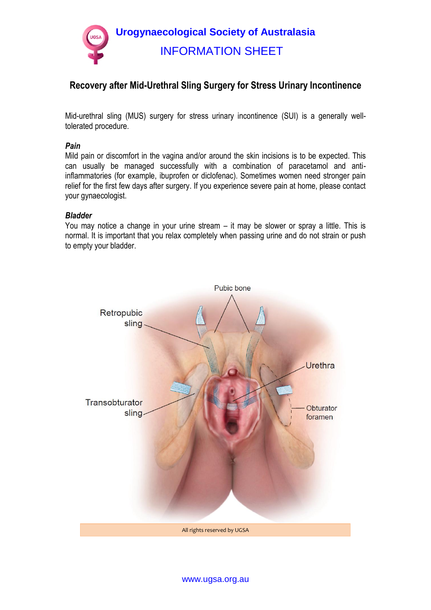

# **Recovery after Mid-Urethral Sling Surgery for Stress Urinary Incontinence**

Mid-urethral sling (MUS) surgery for stress urinary incontinence (SUI) is a generally welltolerated procedure.

### *Pain*

Mild pain or discomfort in the vagina and/or around the skin incisions is to be expected. This can usually be managed successfully with a combination of paracetamol and antiinflammatories (for example, ibuprofen or diclofenac). Sometimes women need stronger pain relief for the first few days after surgery. If you experience severe pain at home, please contact your gynaecologist.

# *Bladder*

You may notice a change in your urine stream – it may be slower or spray a little. This is normal. It is important that you relax completely when passing urine and do not strain or push to empty your bladder.



www.ugsa.org.au